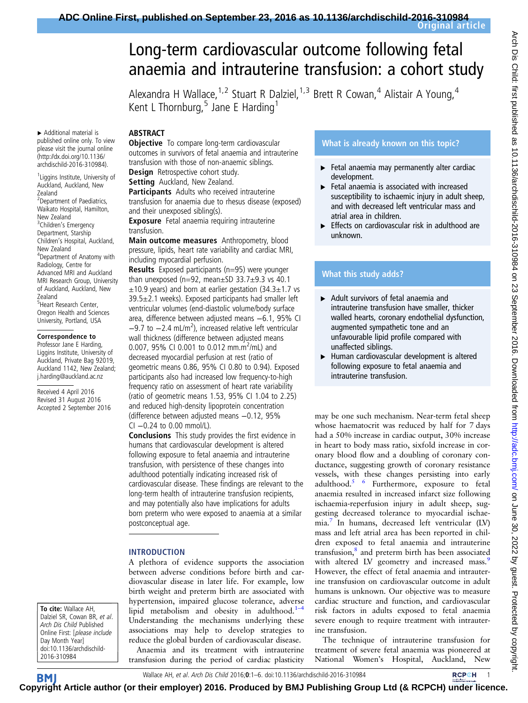anaemia and intrauterine transfusion: a cohort study

Alexandra H Wallace, <sup>1,2</sup> Stuart R Dalziel, <sup>1,3</sup> Brett R Cowan, <sup>4</sup> Alistair A Young, <sup>4</sup>

# Long-term cardiovascular outcome following fetal

▸ Additional material is published online only. To view please visit the journal online [\(http://dx.doi.org/10.1136/](http://dx.doi.org/10.1136/archdischild-2016-310984) [archdischild-2016-310984](http://dx.doi.org/10.1136/archdischild-2016-310984)).

<sup>1</sup> Liggins Institute, University of Auckland, Auckland, New Zealand <sup>2</sup> Department of Paediatrics, Waikato Hospital, Hamilton, New Zealand <sup>3</sup>Children's Emergency Department, Starship Children's Hospital, Auckland, New Zealand 4 Department of Anatomy with Radiology, Centre for Advanced MRI and Auckland MRI Research Group, University of Auckland, Auckland, New Zealand 5 Heart Research Center, Oregon Health and Sciences University, Portland, USA

#### Correspondence to

Professor Jane E Harding, Liggins Institute, University of Auckland, Private Bag 92019, Auckland 1142, New Zealand; j.harding@auckland.ac.nz

Received 4 April 2016 Revised 31 August 2016 Accepted 2 September 2016

To cite: Wallace AH, Dalziel SR, Cowan BR, et al. Arch Dis Child Published Online First: [please include Day Month Year] doi:10.1136/archdischild-2016-310984

**Objective** To compare long-term cardiovascular outcomes in survivors of fetal anaemia and intrauterine transfusion with those of non-anaemic siblings. Design Retrospective cohort study.

Kent L Thornburg,  $5$  Jane E Harding<sup>1</sup>

Setting Auckland, New Zealand.

ABSTRACT

Participants Adults who received intrauterine transfusion for anaemia due to rhesus disease (exposed) and their unexposed sibling(s).

Exposure Fetal anaemia requiring intrauterine transfusion.

Main outcome measures Anthropometry, blood pressure, lipids, heart rate variability and cardiac MRI, including myocardial perfusion.

Results Exposed participants (n=95) were younger than unexposed (n=92, mean $\pm$ SD 33.7 $\pm$ 9.3 vs 40.1  $\pm$ 10.9 years) and born at earlier gestation (34.3 $\pm$ 1.7 vs 39.5±2.1 weeks). Exposed participants had smaller left ventricular volumes (end-diastolic volume/body surface area, difference between adjusted means −6.1, 95% CI  $-9.7$  to  $-2.4$  mL/m<sup>2</sup>), increased relative left ventricular wall thickness (difference between adjusted means 0.007, 95% CI 0.001 to 0.012 mm.m<sup>2</sup>/mL) and decreased myocardial perfusion at rest (ratio of geometric means 0.86, 95% CI 0.80 to 0.94). Exposed participants also had increased low frequency-to-high frequency ratio on assessment of heart rate variability (ratio of geometric means 1.53, 95% CI 1.04 to 2.25) and reduced high-density lipoprotein concentration (difference between adjusted means −0.12, 95% CI −0.24 to 0.00 mmol/L).

Conclusions This study provides the first evidence in humans that cardiovascular development is altered following exposure to fetal anaemia and intrauterine transfusion, with persistence of these changes into adulthood potentially indicating increased risk of cardiovascular disease. These findings are relevant to the long-term health of intrauterine transfusion recipients, and may potentially also have implications for adults born preterm who were exposed to anaemia at a similar postconceptual age.

#### INTRODUCTION

A plethora of evidence supports the association between adverse conditions before birth and cardiovascular disease in later life. For example, low birth weight and preterm birth are associated with hypertension, impaired glucose tolerance, adverse lipid metabolism and obesity in adulthood. $1-4$ Understanding the mechanisms underlying these associations may help to develop strategies to reduce the global burden of cardiovascular disease. Anaemia and its treatment with intrauterine transfusion during the period of cardiac plasticity

# What is already known on this topic?

- $\blacktriangleright$  Fetal anaemia may permanently alter cardiac development.
- ▸ Fetal anaemia is associated with increased susceptibility to ischaemic injury in adult sheep, and with decreased left ventricular mass and atrial area in children.
- ► Effects on cardiovascular risk in adulthood are unknown.

#### What this study adds?

- ▸ Adult survivors of fetal anaemia and intrauterine transfusion have smaller, thicker walled hearts, coronary endothelial dysfunction, augmented sympathetic tone and an unfavourable lipid profile compared with unaffected siblings.
- ▸ Human cardiovascular development is altered following exposure to fetal anaemia and intrauterine transfusion.

may be one such mechanism. Near-term fetal sheep whose haematocrit was reduced by half for 7 days had a 50% increase in cardiac output, 30% increase in heart to body mass ratio, sixfold increase in coronary blood flow and a doubling of coronary conductance, suggesting growth of coronary resistance vessels, with these changes persisting into early adulthood.[5 6](#page-5-0) Furthermore, exposure to fetal anaemia resulted in increased infarct size following ischaemia-reperfusion injury in adult sheep, suggesting decreased tolerance to myocardial ischaemia.[7](#page-5-0) In humans, decreased left ventricular (LV) mass and left atrial area has been reported in children exposed to fetal anaemia and intrauterine transfusion, $<sup>8</sup>$  $<sup>8</sup>$  $<sup>8</sup>$  and preterm birth has been associated</sup> with altered LV geometry and increased mass.<sup>[9](#page-5-0)</sup> However, the effect of fetal anaemia and intrauterine transfusion on cardiovascular outcome in adult humans is unknown. Our objective was to measure cardiac structure and function, and cardiovascular risk factors in adults exposed to fetal anaemia severe enough to require treatment with intrauterine transfusion.

The technique of intrauterine transfusion for treatment of severe fetal anaemia was pioneered at National Women's Hospital, Auckland, New



**BM Cop[yrigh](http://adc.bmj.com)t Article author (or their employer) 2016. Produced by BMJ Publishing Group Ltd (& RCPCH) [under l](http://www.rcpch.ac.uk/)icence.**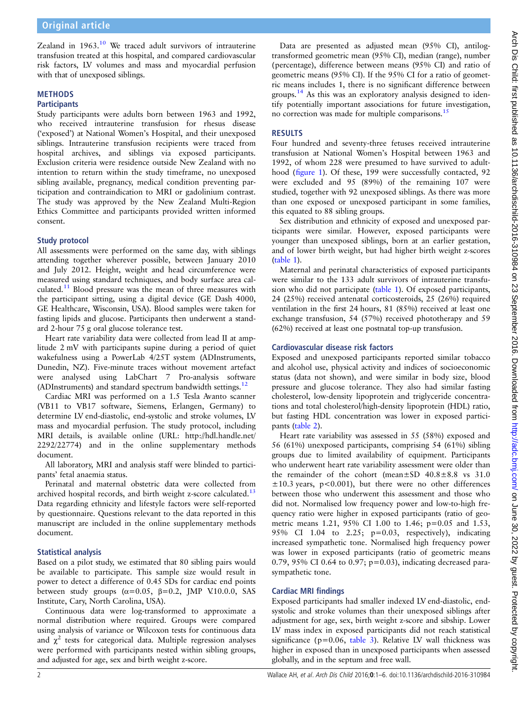Zealand in  $1963$ .<sup>10</sup> We traced adult survivors of intrauterine transfusion treated at this hospital, and compared cardiovascular risk factors, LV volumes and mass and myocardial perfusion with that of unexposed siblings.

#### **METHODS Participants**

Study participants were adults born between 1963 and 1992, who received intrauterine transfusion for rhesus disease ('exposed') at National Women's Hospital, and their unexposed siblings. Intrauterine transfusion recipients were traced from hospital archives, and siblings via exposed participants. Exclusion criteria were residence outside New Zealand with no intention to return within the study timeframe, no unexposed sibling available, pregnancy, medical condition preventing participation and contraindication to MRI or gadolinium contrast. The study was approved by the New Zealand Multi-Region Ethics Committee and participants provided written informed consent.

#### Study protocol

All assessments were performed on the same day, with siblings attending together wherever possible, between January 2010 and July 2012. Height, weight and head circumference were measured using standard techniques, and body surface area calculated.[11](#page-5-0) Blood pressure was the mean of three measures with the participant sitting, using a digital device (GE Dash 4000, GE Healthcare, Wisconsin, USA). Blood samples were taken for fasting lipids and glucose. Participants then underwent a standard 2-hour 75 g oral glucose tolerance test.

Heart rate variability data were collected from lead II at amplitude 2 mV with participants supine during a period of quiet wakefulness using a PowerLab 4/25T system (ADInstruments, Dunedin, NZ). Five-minute traces without movement artefact were analysed using LabChart 7 Pro-analysis software (ADInstruments) and standard spectrum bandwidth settings.<sup>[12](#page-5-0)</sup>

Cardiac MRI was performed on a 1.5 Tesla Avanto scanner (VB11 to VB17 software, Siemens, Erlangen, Germany) to determine LV end-diastolic, end-systolic and stroke volumes, LV mass and myocardial perfusion. The study protocol, including MRI details, is available online (URL: [http://hdl.handle.net/](http://hdl.handle.net/2292/22774) [2292/22774](http://hdl.handle.net/2292/22774)) and in the online supplementary methods document.

All laboratory, MRI and analysis staff were blinded to participants' fetal anaemia status.

Perinatal and maternal obstetric data were collected from archived hospital records, and birth weight z-score calculated.<sup>13</sup> Data regarding ethnicity and lifestyle factors were self-reported by questionnaire. Questions relevant to the data reported in this manuscript are included in the online supplementary methods document.

## Statistical analysis

Based on a pilot study, we estimated that 80 sibling pairs would be available to participate. This sample size would result in power to detect a difference of 0.45 SDs for cardiac end points between study groups ( $\alpha$ =0.05,  $\beta$ =0.2, JMP V.10.0.0, SAS Institute, Cary, North Carolina, USA).

Continuous data were log-transformed to approximate a normal distribution where required. Groups were compared using analysis of variance or Wilcoxon tests for continuous data and  $\chi^2$  tests for categorical data. Multiple regression analyses were performed with participants nested within sibling groups, and adjusted for age, sex and birth weight z-score.

Data are presented as adjusted mean (95% CI), antilogtransformed geometric mean (95% CI), median (range), number (percentage), difference between means (95% CI) and ratio of geometric means (95% CI). If the 95% CI for a ratio of geometric means includes 1, there is no significant difference between groups.<sup>[14](#page-5-0)</sup> As this was an exploratory analysis designed to identify potentially important associations for future investigation, no correction was made for multiple comparisons[.15](#page-5-0)

# RESULTS

Four hundred and seventy-three fetuses received intrauterine transfusion at National Women's Hospital between 1963 and 1992, of whom 228 were presumed to have survived to adulthood (fi[gure 1](#page-2-0)). Of these, 199 were successfully contacted, 92 were excluded and 95 (89%) of the remaining 107 were studied, together with 92 unexposed siblings. As there was more than one exposed or unexposed participant in some families, this equated to 88 sibling groups.

Sex distribution and ethnicity of exposed and unexposed participants were similar. However, exposed participants were younger than unexposed siblings, born at an earlier gestation, and of lower birth weight, but had higher birth weight z-scores ([table 1](#page-2-0)).

Maternal and perinatal characteristics of exposed participants were similar to the 133 adult survivors of intrauterine transfusion who did not participate [\(table 1\)](#page-2-0). Of exposed participants, 24 (25%) received antenatal corticosteroids, 25 (26%) required ventilation in the first 24 hours, 81 (85%) received at least one exchange transfusion, 54 (57%) received phototherapy and 59 (62%) received at least one postnatal top-up transfusion.

## Cardiovascular disease risk factors

Exposed and unexposed participants reported similar tobacco and alcohol use, physical activity and indices of socioeconomic status (data not shown), and were similar in body size, blood pressure and glucose tolerance. They also had similar fasting cholesterol, low-density lipoprotein and triglyceride concentrations and total cholesterol/high-density lipoprotein (HDL) ratio, but fasting HDL concentration was lower in exposed participants [\(table 2](#page-3-0)).

Heart rate variability was assessed in 55 (58%) exposed and 56 (61%) unexposed participants, comprising 54 (61%) sibling groups due to limited availability of equipment. Participants who underwent heart rate variability assessment were older than the remainder of the cohort (mean±SD 40.8±8.8 vs 31.0  $\pm 10.3$  years, p<0.001), but there were no other differences between those who underwent this assessment and those who did not. Normalised low frequency power and low-to-high frequency ratio were higher in exposed participants (ratio of geometric means 1.21, 95% CI 1.00 to 1.46; p=0.05 and 1.53, 95% CI 1.04 to 2.25; p=0.03, respectively), indicating increased sympathetic tone. Normalised high frequency power was lower in exposed participants (ratio of geometric means 0.79, 95% CI 0.64 to 0.97; p=0.03), indicating decreased parasympathetic tone.

## Cardiac MRI findings

Exposed participants had smaller indexed LV end-diastolic, endsystolic and stroke volumes than their unexposed siblings after adjustment for age, sex, birth weight z-score and sibship. Lower LV mass index in exposed participants did not reach statistical significance ( $p=0.06$ , [table 3](#page-3-0)). Relative LV wall thickness was higher in exposed than in unexposed participants when assessed globally, and in the septum and free wall.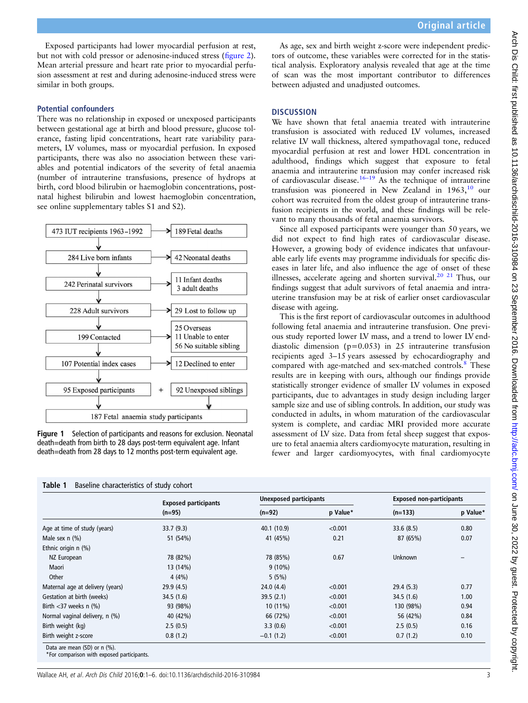Original article

<span id="page-2-0"></span>Exposed participants had lower myocardial perfusion at rest, but not with cold pressor or adenosine-induced stress (fi[gure 2](#page-4-0)). Mean arterial pressure and heart rate prior to myocardial perfusion assessment at rest and during adenosine-induced stress were There was no relationship in exposed or unexposed participants between gestational age at birth and blood pressure, glucose tolerance, fasting lipid concentrations, heart rate variability parameters, LV volumes, mass or myocardial perfusion. In exposed participants, there was also no association between these variables and potential indicators of the severity of fetal anaemia (number of intrauterine transfusions, presence of hydrops at **DISCUSSION** disease with ageing.

As age, sex and birth weight z-score were independent predictors of outcome, these variables were corrected for in the statistical analysis. Exploratory analysis revealed that age at the time of scan was the most important contributor to differences between adjusted and unadjusted outcomes.

We have shown that fetal anaemia treated with intrauterine transfusion is associated with reduced LV volumes, increased relative LV wall thickness, altered sympathovagal tone, reduced myocardial perfusion at rest and lower HDL concentration in adulthood, findings which suggest that exposure to fetal anaemia and intrauterine transfusion may confer increased risk of cardiovascular disease.<sup>16–19</sup> As the technique of intrauterine transfusion was pioneered in New Zealand in 1963,<sup>[10](#page-5-0)</sup> our cohort was recruited from the oldest group of intrauterine transfusion recipients in the world, and these findings will be relevant to many thousands of fetal anaemia survivors.

Since all exposed participants were younger than 50 years, we did not expect to find high rates of cardiovascular disease. However, a growing body of evidence indicates that unfavourable early life events may programme individuals for specific diseases in later life, and also influence the age of onset of these illnesses, accelerate ageing and shorten survival.<sup>20</sup><sup>21</sup> Thus, our findings suggest that adult survivors of fetal anaemia and intrauterine transfusion may be at risk of earlier onset cardiovascular

This is the first report of cardiovascular outcomes in adulthood following fetal anaemia and intrauterine transfusion. One previous study reported lower LV mass, and a trend to lower LV enddiastolic dimension (p=0.053) in 25 intrauterine transfusion recipients aged 3–15 years assessed by echocardiography and compared with age-matched and sex-matched controls.<sup>[8](#page-5-0)</sup> These results are in keeping with ours, although our findings provide statistically stronger evidence of smaller LV volumes in exposed participants, due to advantages in study design including larger sample size and use of sibling controls. In addition, our study was conducted in adults, in whom maturation of the cardiovascular system is complete, and cardiac MRI provided more accurate assessment of LV size. Data from fetal sheep suggest that exposure to fetal anaemia alters cardiomyocyte maturation, resulting in fewer and larger cardiomyocytes, with final cardiomyocyte

|                              | exposed participants |             |  |
|------------------------------|----------------------|-------------|--|
|                              | $(n=95)$             | $(n=92)$    |  |
| Age at time of study (years) | 33.7(9.3)            | 40.1 (10.9) |  |
| Male sex $n$ $(\%)$          | 51 (54%)             | 41 (45%)    |  |
| Ethnic origin n (%)          |                      |             |  |
| NZ European                  | 78 (82%)             | 78 (85%)    |  |

\*For comparison with exposed participants.

# birth, cord blood bilirubin or haemoglobin concentrations, postnatal highest bilirubin and lowest haemoglobin concentration, see online [supplementary tables](http://dx.doi.org/10.1136/archdischild-2016-310984) S1 and S2). 473 IUT recipients 1963-1992 189 Fetal deaths 284 Live born infants 42 Neonatal deaths

similar in both groups.

Potential confounders



Figure 1 Selection of participants and reasons for exclusion. Neonatal death=death from birth to 28 days post-term equivalent age. Infant death=death from 28 days to 12 months post-term equivalent age.

|                                  | <b>Exposed participants</b><br>$(n=95)$ | <b>Unexposed participants</b> |          | <b>Exposed non-participants</b> |          |
|----------------------------------|-----------------------------------------|-------------------------------|----------|---------------------------------|----------|
|                                  |                                         | $(n=92)$                      | p Value* | $(n=133)$                       | p Value* |
| Age at time of study (years)     | 33.7(9.3)                               | 40.1 (10.9)                   | < 0.001  | 33.6(8.5)                       | 0.80     |
| Male sex $n$ $(\%)$              | 51 (54%)                                | 41 (45%)                      | 0.21     | 87 (65%)                        | 0.07     |
| Ethnic origin n (%)              |                                         |                               |          |                                 |          |
| NZ European                      | 78 (82%)                                | 78 (85%)                      | 0.67     | Unknown                         |          |
| Maori                            | 13 (14%)                                | $9(10\%)$                     |          |                                 |          |
| Other                            | 4(4%)                                   | 5(5%)                         |          |                                 |          |
| Maternal age at delivery (years) | 29.9(4.5)                               | 24.0(4.4)                     | < 0.001  | 29.4(5.3)                       | 0.77     |
| Gestation at birth (weeks)       | 34.5 (1.6)                              | 39.5(2.1)                     | < 0.001  | 34.5(1.6)                       | 1.00     |
| Birth $<$ 37 weeks n $(\%)$      | 93 (98%)                                | $10(11\%)$                    | < 0.001  | 130 (98%)                       | 0.94     |
| Normal vaginal delivery, n (%)   | 40 (42%)                                | 66 (72%)                      | < 0.001  | 56 (42%)                        | 0.84     |
| Birth weight (kg)                | 2.5(0.5)                                | 3.3(0.6)                      | < 0.001  | 2.5(0.5)                        | 0.16     |
| Birth weight z-score             | 0.8(1.2)                                | $-0.1(1.2)$                   | < 0.001  | 0.7(1.2)                        | 0.10     |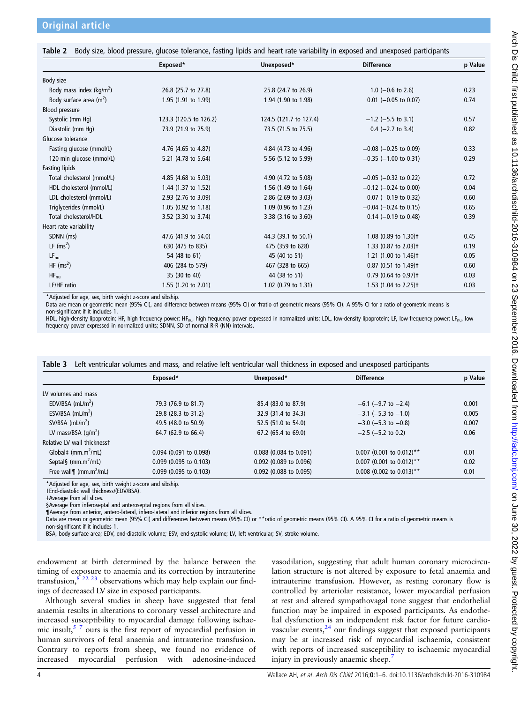<span id="page-3-0"></span>

|                              | Exposed*               | Unexposed*             | <b>Difference</b>                  | p Value |
|------------------------------|------------------------|------------------------|------------------------------------|---------|
|                              |                        |                        |                                    |         |
| Body size                    |                        |                        |                                    |         |
| Body mass index ( $kg/m2$ )  | 26.8 (25.7 to 27.8)    | 25.8 (24.7 to 26.9)    | 1.0 $(-0.6 \text{ to } 2.6)$       | 0.23    |
| Body surface area $(m^2)$    | 1.95 (1.91 to 1.99)    | 1.94 (1.90 to 1.98)    | $0.01$ (-0.05 to 0.07)             | 0.74    |
| Blood pressure               |                        |                        |                                    |         |
| Systolic (mm Hg)             | 123.3 (120.5 to 126.2) | 124.5 (121.7 to 127.4) | $-1.2$ (-5.5 to 3.1)               | 0.57    |
| Diastolic (mm Hq)            | 73.9 (71.9 to 75.9)    | 73.5 (71.5 to 75.5)    | $0.4$ (-2.7 to 3.4)                | 0.82    |
| Glucose tolerance            |                        |                        |                                    |         |
| Fasting glucose (mmol/L)     | 4.76 (4.65 to 4.87)    | 4.84 (4.73 to 4.96)    | $-0.08$ ( $-0.25$ to 0.09)         | 0.33    |
| 120 min glucose (mmol/L)     | 5.21 (4.78 to 5.64)    | 5.56 (5.12 to 5.99)    | $-0.35$ ( $-1.00$ to 0.31)         | 0.29    |
| Fasting lipids               |                        |                        |                                    |         |
| Total cholesterol (mmol/L)   | 4.85 (4.68 to 5.03)    | 4.90 (4.72 to 5.08)    | $-0.05$ ( $-0.32$ to 0.22)         | 0.72    |
| HDL cholesterol (mmol/L)     | 1.44 (1.37 to 1.52)    | 1.56 (1.49 to 1.64)    | $-0.12$ (-0.24 to 0.00)            | 0.04    |
| LDL cholesterol (mmol/L)     | 2.93 (2.76 to 3.09)    | 2.86 (2.69 to 3.03)    | $0.07$ (-0.19 to 0.32)             | 0.60    |
| Triglycerides (mmol/L)       | 1.05 (0.92 to 1.18)    | 1.09 (0.96 to 1.23)    | $-0.04$ ( $-0.24$ to 0.15)         | 0.65    |
| <b>Total cholesterol/HDL</b> | 3.52 (3.30 to 3.74)    | 3.38 (3.16 to 3.60)    | $0.14$ (-0.19 to 0.48)             | 0.39    |
| Heart rate variability       |                        |                        |                                    |         |
| SDNN (ms)                    | 47.6 (41.9 to 54.0)    | 44.3 (39.1 to 50.1)    | 1.08 (0.89 to 1.30) <sup>†</sup>   | 0.45    |
| LF $(ms^2)$                  | 630 (475 to 835)       | 475 (359 to 628)       | 1.33 (0.87 to 2.03) <sup>†</sup>   | 0.19    |
| $LF_{nu}$                    | 54 (48 to 61)          | 45 (40 to 51)          | 1.21 (1.00 to 1.46) <sup>†</sup>   | 0.05    |
| HF $(ms^2)$                  | 406 (284 to 579)       | 467 (328 to 665)       | $0.87$ (0.51 to 1.49) <sup>+</sup> | 0.60    |
| $HF_{\text{nu}}$             | 35 (30 to 40)          | 44 (38 to 51)          | $0.79$ (0.64 to 0.97) <sup>+</sup> | 0.03    |
| LF/HF ratio                  | 1.55 (1.20 to 2.01)    | 1.02 (0.79 to 1.31)    | 1.53 (1.04 to 2.25) <sup>+</sup>   | 0.03    |

\*Adjusted for age, sex, birth weight z-score and sibship.

Data are mean or geometric mean (95% CI), and difference between means (95% CI) or tratio of geometric means (95% CI). A 95% CI for a ratio of geometric means is non-significant if it includes 1.

HDL, high-density lipoprotein; HF, high frequency power; HF<sub>nu</sub>, high frequency power expressed in normalized units; LDL, low-density lipoprotein; LF, low frequency power; LF<sub>nu</sub>, low frequency power expressed in normalized units; SDNN, SD of normal R-R (NN) intervals.

|  |  |  | Table 3 Left ventricular volumes and mass, and relative left ventricular wall thickness in exposed and unexposed participants |
|--|--|--|-------------------------------------------------------------------------------------------------------------------------------|
|--|--|--|-------------------------------------------------------------------------------------------------------------------------------|

|                                           | Exposed*                 | Unexposed*             | <b>Difference</b>          | p Value |
|-------------------------------------------|--------------------------|------------------------|----------------------------|---------|
| LV volumes and mass                       |                          |                        |                            |         |
| EDV/BSA $(mL/m2)$                         | 79.3 (76.9 to 81.7)      | 85.4 (83.0 to 87.9)    | $-6.1$ (-9.7 to $-2.4$ )   | 0.001   |
| ESV/BSA $(mL/m2)$                         | 29.8 (28.3 to 31.2)      | 32.9 (31.4 to 34.3)    | $-3.1$ (-5.3 to -1.0)      | 0.005   |
| SV/BSA $(mL/m2)$                          | 49.5 (48.0 to 50.9)      | 52.5 (51.0 to 54.0)    | $-3.0$ (-5.3 to -0.8)      | 0.007   |
| LV mass/BSA $\frac{q}{m^2}$               | 64.7 (62.9 to 66.4)      | 67.2 (65.4 to 69.0)    | $-2.5$ ( $-5.2$ to 0.2)    | 0.06    |
| Relative LV wall thicknesst               |                          |                        |                            |         |
| Global $\ddagger$ (mm.m <sup>2</sup> /mL) | 0.094 (0.091 to 0.098)   | 0.088 (0.084 to 0.091) | $0.007$ (0.001 to 0.012)** | 0.01    |
| Septal§ (mm.m <sup>2</sup> /mL)           | 0.099 (0.095 to 0.103)   | 0.092 (0.089 to 0.096) | $0.007$ (0.001 to 0.012)** | 0.02    |
| Free wall $\eta$ (mm.m <sup>2</sup> /mL)  | $0.099$ (0.095 to 0.103) | 0.092 (0.088 to 0.095) | $0.008$ (0.002 to 0.013)** | 0.01    |
|                                           |                          |                        |                            |         |

\*Adjusted for age, sex, birth weight z-score and sibship.

†End-diastolic wall thickness/(EDV/BSA).

‡Average from all slices.

§Average from inferoseptal and anteroseptal regions from all slices.

¶Average from anterior, antero-lateral, infero-lateral and inferior regions from all slices.

Data are mean or geometric mean (95% CI) and differences between means (95% CI) or \*\*ratio of geometric means (95% CI). A 95% CI for a ratio of geometric means is non-significant if it includes 1.

BSA, body surface area; EDV, end-diastolic volume; ESV, end-systolic volume; LV, left ventricular; SV, stroke volume.

endowment at birth determined by the balance between the timing of exposure to anaemia and its correction by intrauterine transfusion,  $\frac{8}{22}$   $\frac{23}{23}$  observations which may help explain our findings of decreased LV size in exposed participants.

Although several studies in sheep have suggested that fetal anaemia results in alterations to coronary vessel architecture and increased susceptibility to myocardial damage following ischaemic insult,  $5<sup>7</sup>$  ours is the first report of myocardial perfusion in human survivors of fetal anaemia and intrauterine transfusion. Contrary to reports from sheep, we found no evidence of increased myocardial perfusion with adenosine-induced

vasodilation, suggesting that adult human coronary microcirculation structure is not altered by exposure to fetal anaemia and intrauterine transfusion. However, as resting coronary flow is controlled by arteriolar resistance, lower myocardial perfusion at rest and altered sympathovagal tone suggest that endothelial function may be impaired in exposed participants. As endothelial dysfunction is an independent risk factor for future cardiovascular events, $^{24}$  $^{24}$  $^{24}$  our findings suggest that exposed participants may be at increased risk of myocardial ischaemia, consistent with reports of increased susceptibility to ischaemic myocardial injury in previously anaemic sheep.<sup>7</sup>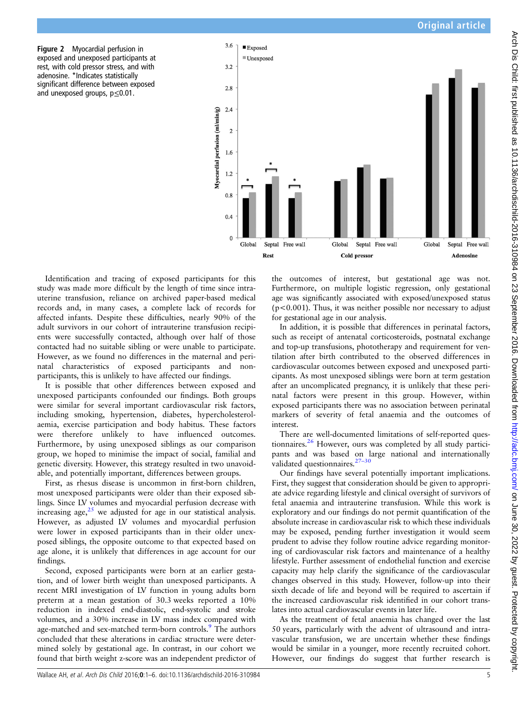<span id="page-4-0"></span>Figure 2 Myocardial perfusion in exposed and unexposed participants at rest, with cold pressor stress, and with adenosine. \*Indicates statistically significant difference between exposed and unexposed groups, p≤0.01.



Identification and tracing of exposed participants for this study was made more difficult by the length of time since intrauterine transfusion, reliance on archived paper-based medical records and, in many cases, a complete lack of records for affected infants. Despite these difficulties, nearly 90% of the adult survivors in our cohort of intrauterine transfusion recipients were successfully contacted, although over half of those contacted had no suitable sibling or were unable to participate. However, as we found no differences in the maternal and perinatal characteristics of exposed participants and nonparticipants, this is unlikely to have affected our findings.

It is possible that other differences between exposed and unexposed participants confounded our findings. Both groups were similar for several important cardiovascular risk factors, including smoking, hypertension, diabetes, hypercholesterolaemia, exercise participation and body habitus. These factors were therefore unlikely to have influenced outcomes. Furthermore, by using unexposed siblings as our comparison group, we hoped to minimise the impact of social, familial and genetic diversity. However, this strategy resulted in two unavoidable, and potentially important, differences between groups.

First, as rhesus disease is uncommon in first-born children, most unexposed participants were older than their exposed siblings. Since LV volumes and myocardial perfusion decrease with increasing age, $2^5$  we adjusted for age in our statistical analysis. However, as adjusted LV volumes and myocardial perfusion were lower in exposed participants than in their older unexposed siblings, the opposite outcome to that expected based on age alone, it is unlikely that differences in age account for our findings.

Second, exposed participants were born at an earlier gestation, and of lower birth weight than unexposed participants. A recent MRI investigation of LV function in young adults born preterm at a mean gestation of 30.3 weeks reported a 10% reduction in indexed end-diastolic, end-systolic and stroke volumes, and a 30% increase in LV mass index compared with age-matched and sex-matched term-born controls.<sup>9</sup> The authors concluded that these alterations in cardiac structure were determined solely by gestational age. In contrast, in our cohort we found that birth weight z-score was an independent predictor of

the outcomes of interest, but gestational age was not. Furthermore, on multiple logistic regression, only gestational age was significantly associated with exposed/unexposed status (p<0.001). Thus, it was neither possible nor necessary to adjust for gestational age in our analysis.

In addition, it is possible that differences in perinatal factors, such as receipt of antenatal corticosteroids, postnatal exchange and top-up transfusions, phototherapy and requirement for ventilation after birth contributed to the observed differences in cardiovascular outcomes between exposed and unexposed participants. As most unexposed siblings were born at term gestation after an uncomplicated pregnancy, it is unlikely that these perinatal factors were present in this group. However, within exposed participants there was no association between perinatal markers of severity of fetal anaemia and the outcomes of interest.

There are well-documented limitations of self-reported ques-tionnaires.<sup>[26](#page-5-0)</sup> However, ours was completed by all study participants and was based on large national and internationally validated questionnaires.<sup>27-[30](#page-5-0)</sup>

Our findings have several potentially important implications. First, they suggest that consideration should be given to appropriate advice regarding lifestyle and clinical oversight of survivors of fetal anaemia and intrauterine transfusion. While this work is exploratory and our findings do not permit quantification of the absolute increase in cardiovascular risk to which these individuals may be exposed, pending further investigation it would seem prudent to advise they follow routine advice regarding monitoring of cardiovascular risk factors and maintenance of a healthy lifestyle. Further assessment of endothelial function and exercise capacity may help clarify the significance of the cardiovascular changes observed in this study. However, follow-up into their sixth decade of life and beyond will be required to ascertain if the increased cardiovascular risk identified in our cohort translates into actual cardiovascular events in later life.

As the treatment of fetal anaemia has changed over the last 50 years, particularly with the advent of ultrasound and intravascular transfusion, we are uncertain whether these findings would be similar in a younger, more recently recruited cohort. However, our findings do suggest that further research is